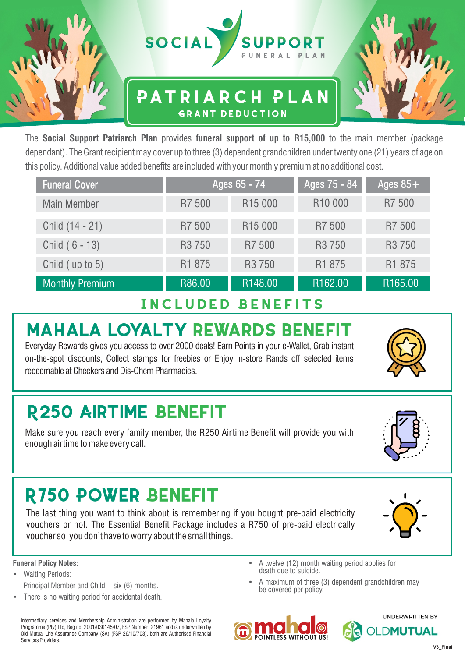

### **Patriarch Plan Grant deduction**



| <b>Funeral Cover</b>   |                    | Ages 65 - 74        | Ages 75 - 84        | Ages $85+$<br>R7 500<br>R7 500<br>R <sub>3</sub> 750 |  |  |
|------------------------|--------------------|---------------------|---------------------|------------------------------------------------------|--|--|
| <b>Main Member</b>     | R7 500             | R <sub>15</sub> 000 | R <sub>10</sub> 000 |                                                      |  |  |
| Child (14 - 21)        | R7 500             | R <sub>15</sub> 000 | R7 500              |                                                      |  |  |
| Child (6 - 13)         | R <sub>3</sub> 750 | R7 500              | R <sub>3</sub> 750  |                                                      |  |  |
| Child (up to 5)        | R1 875             | R <sub>3</sub> 750  | R1 875              | R1 875                                               |  |  |
| <b>Monthly Premium</b> | R86.00             | R148.00             | R162.00             | R165.00                                              |  |  |

## **Included Benefits**

## **MAHALA LOYALTY REWARDS BENEFIT**

Everyday Rewards gives you access to over 2000 deals! Earn Points in your e-Wallet, Grab instant on-the-spot discounts, Collect stamps for freebies or Enjoy in-store Rands off selected items redeemable at Checkers and Dis-Chem Pharmacies.

# **R250 AIRTIME BENEFIT**

Make sure you reach every family member, the R250 Airtime Benefit will provide you with enough airtime to make every call.

# **R750 POWER BENEFIT**

The last thing you want to think about is remembering if you bought pre-paid electricity vouchers or not. The Essential Benefit Package includes a R750 of pre-paid electrically voucher so you don't have to worry about the small things.

### **Funeral Policy Notes:**

- Waiting Periods: Principal Member and Child - six (6) months.
- There is no waiting period for accidental death.

Intermediary services and Membership Administration are performed by Mahala Loyalty Programme (Pty) Ltd, Reg no: 2001/030145/07, FSP Number: 21961 and is underwritten by Old Mutual Life Assurance Company (SA) (FSP 26/10/703), both are Authorised Financial Services Providers.

- A twelve (12) month waiting period applies for death due to suicide.
- A maximum of three (3) dependent grandchildren may be covered per policy.









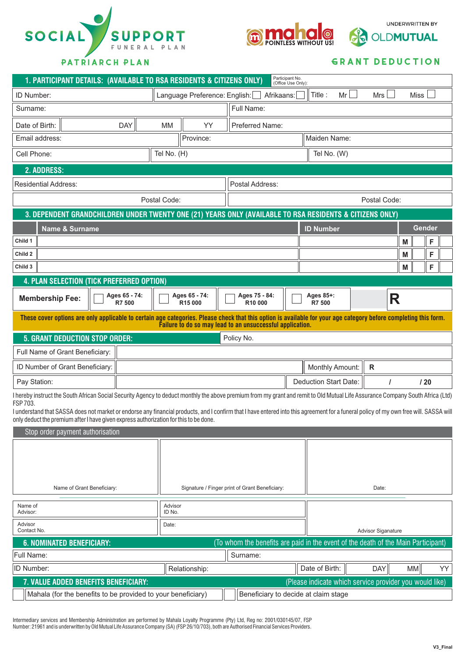



**UNDERWRITTEN BY** 

OLDMUTUAL

#### **Grant deduction**

ଵ

| Participant No.<br>1. PARTICIPANT DETAILS: (AVAILABLE TO RSA RESIDENTS & CITIZENS ONLY)<br>(Office Use Only):                                                                                                                                                                  |                         |              |                                                           |                                                                           |  |                    |                        |              |    |        |     |  |
|--------------------------------------------------------------------------------------------------------------------------------------------------------------------------------------------------------------------------------------------------------------------------------|-------------------------|--------------|-----------------------------------------------------------|---------------------------------------------------------------------------|--|--------------------|------------------------|--------------|----|--------|-----|--|
| ID Number:                                                                                                                                                                                                                                                                     |                         |              |                                                           | Language Preference: English: Afrikaans:<br>Mr<br>Mrs  <br>Miss<br>Title: |  |                    |                        |              |    |        |     |  |
| Surname:                                                                                                                                                                                                                                                                       |                         |              |                                                           | Full Name:                                                                |  |                    |                        |              |    |        |     |  |
| Date of Birth:                                                                                                                                                                                                                                                                 | <b>DAY</b>              | <b>MM</b>    | YY                                                        | Preferred Name:                                                           |  |                    |                        |              |    |        |     |  |
| Email address:                                                                                                                                                                                                                                                                 |                         |              | Province:                                                 |                                                                           |  |                    | Maiden Name:           |              |    |        |     |  |
| Cell Phone:                                                                                                                                                                                                                                                                    |                         | Tel No. (H)  |                                                           |                                                                           |  |                    | Tel No. (W)            |              |    |        |     |  |
| 2. ADDRESS:                                                                                                                                                                                                                                                                    |                         |              |                                                           |                                                                           |  |                    |                        |              |    |        |     |  |
| <b>Residential Address:</b>                                                                                                                                                                                                                                                    | Postal Address:         |              |                                                           |                                                                           |  |                    |                        |              |    |        |     |  |
|                                                                                                                                                                                                                                                                                |                         | Postal Code: |                                                           |                                                                           |  |                    |                        | Postal Code: |    |        |     |  |
| 3. DEPENDENT GRANDCHILDREN UNDER TWENTY ONE (21) YEARS ONLY (AVAILABLE TO RSA RESIDENTS & CITIZENS ONLY)                                                                                                                                                                       |                         |              |                                                           |                                                                           |  |                    |                        |              |    |        |     |  |
| <b>Name &amp; Surname</b>                                                                                                                                                                                                                                                      |                         |              |                                                           |                                                                           |  |                    | <b>ID Number</b>       |              |    | Gender |     |  |
| Child 1                                                                                                                                                                                                                                                                        |                         |              |                                                           |                                                                           |  |                    |                        |              | M  |        | F   |  |
| Child 2                                                                                                                                                                                                                                                                        |                         |              |                                                           |                                                                           |  |                    |                        |              | M  |        | F   |  |
| Child 3                                                                                                                                                                                                                                                                        |                         |              |                                                           |                                                                           |  |                    |                        |              | M  |        | F   |  |
| 4. PLAN SELECTION (TICK PREFERRED OPTION)                                                                                                                                                                                                                                      |                         |              |                                                           |                                                                           |  |                    |                        |              |    |        |     |  |
| <b>Membership Fee:</b>                                                                                                                                                                                                                                                         | Ages 65 - 74:<br>R7 500 |              | Ages 65 - 74:<br>R <sub>15</sub> 000                      | Ages 75 - 84:<br>Ages 85+:<br>R<br>R10 000<br>R7 500                      |  |                    |                        |              |    |        |     |  |
| These cover options are only applicable to certain age categories. Please check that this option is available for your age category before completing this form.                                                                                                               |                         |              | Failure to do so may lead to an unsuccessful application. |                                                                           |  |                    |                        |              |    |        |     |  |
| <b>5. GRANT DEDUCTION STOP ORDER:</b>                                                                                                                                                                                                                                          |                         |              |                                                           | Policy No.                                                                |  |                    |                        |              |    |        |     |  |
| Full Name of Grant Beneficiary:                                                                                                                                                                                                                                                |                         |              |                                                           |                                                                           |  |                    |                        |              |    |        |     |  |
| ID Number of Grant Beneficiary:                                                                                                                                                                                                                                                |                         |              |                                                           |                                                                           |  |                    | <b>Monthly Amount:</b> | $\mathsf{R}$ |    |        |     |  |
| Pay Station:                                                                                                                                                                                                                                                                   |                         |              | <b>Deduction Start Date:</b>                              |                                                                           |  |                    |                        | /20          |    |        |     |  |
| I hereby instruct the South African Social Security Agency to deduct monthly the above premium from my grant and remit to Old Mutual Life Assurance Company South Africa (Ltd)<br>FSP 703.                                                                                     |                         |              |                                                           |                                                                           |  |                    |                        |              |    |        |     |  |
| I understand that SASSA does not market or endorse any financial products, and I confirm that I have entered into this agreement for a funeral policy of my own free will. SASSA will<br>only deduct the premium after I have given express authorization for this to be done. |                         |              |                                                           |                                                                           |  |                    |                        |              |    |        |     |  |
| Stop order payment authorisation                                                                                                                                                                                                                                               |                         |              |                                                           |                                                                           |  |                    |                        |              |    |        |     |  |
|                                                                                                                                                                                                                                                                                |                         |              |                                                           |                                                                           |  |                    |                        |              |    |        |     |  |
|                                                                                                                                                                                                                                                                                |                         |              |                                                           |                                                                           |  |                    |                        |              |    |        |     |  |
|                                                                                                                                                                                                                                                                                |                         |              |                                                           |                                                                           |  |                    |                        |              |    |        |     |  |
| Name of Grant Beneficiary:<br>Signature / Finger print of Grant Beneficiary:                                                                                                                                                                                                   |                         |              |                                                           | Date:                                                                     |  |                    |                        |              |    |        |     |  |
| Name of<br>Advisor:                                                                                                                                                                                                                                                            |                         | ID No.       | Advisor                                                   |                                                                           |  |                    |                        |              |    |        |     |  |
| Advisor<br>Contact No.                                                                                                                                                                                                                                                         |                         | Date:        |                                                           |                                                                           |  | Advisor Siganature |                        |              |    |        |     |  |
| (To whom the benefits are paid in the event of the death of the Main Participant)<br><b>6. NOMINATED BENEFICIARY:</b>                                                                                                                                                          |                         |              |                                                           |                                                                           |  |                    |                        |              |    |        |     |  |
| Full Name:                                                                                                                                                                                                                                                                     |                         |              |                                                           | Surname:                                                                  |  |                    |                        |              |    |        |     |  |
| <b>ID Number:</b>                                                                                                                                                                                                                                                              |                         |              | Relationship:                                             |                                                                           |  |                    | Date of Birth:         | <b>DAY</b>   | MM |        | YY. |  |
| (Please indicate which service provider you would like)<br>7. VALUE ADDED BENEFITS BENEFICIARY:                                                                                                                                                                                |                         |              |                                                           |                                                                           |  |                    |                        |              |    |        |     |  |
| Mahala (for the benefits to be provided to your beneficiary)<br>Beneficiary to decide at claim stage                                                                                                                                                                           |                         |              |                                                           |                                                                           |  |                    |                        |              |    |        |     |  |

Intermediary services and Membership Administration are performed by Mahala Loyalty Programme (Pty) Ltd, Reg no: 2001/030145/07, FSP Number: 21961 and is underwritten by Old Mutual Life Assurance Company (SA) (FSP 26/10/703), both are Authorised Financial Services Providers.